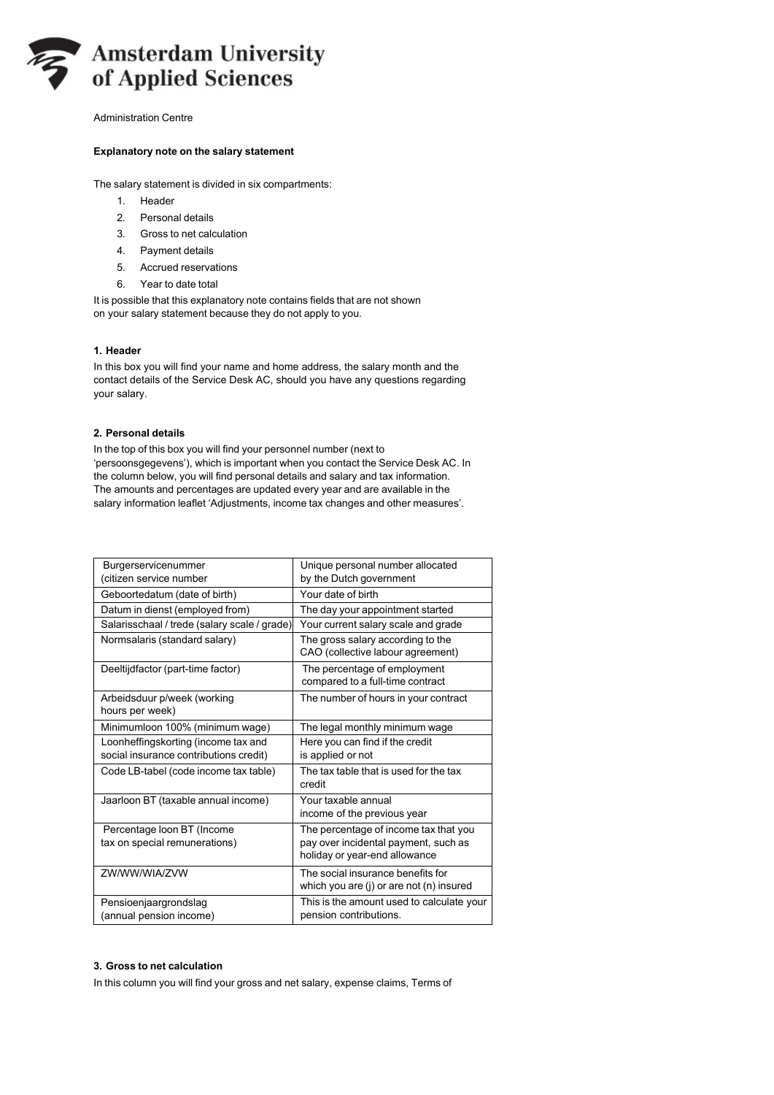

Administration Centre

# **Explanatory note on the salary statement**

The salary statement is divided in six compartments:

- 1. Header
- 2. Personal details
- 3. Gross to net calculation
- 4. Payment details
- 5. Accrued reservations
- 6. Year to date total

It is possible that this explanatory note contains fields that are not shown on your salary statement because they do not apply to you.

# **1. Header**

In this box you will find your name and home address, the salary month and the contact details of the Service Desk AC, should you have any questions regarding your salary.

# **2. Personal details**

In the top of this box you will find your personnel number (next to 'persoonsgegevens'), which is important when you contact the Service Desk AC. In the column below, you will find personal details and salary and tax information. The amounts and percentages are updated every year and are available in the salary information leaflet 'Adjustments, income tax changes and other measures'.

| Burgerservicenummer<br>(citizen service number                                | Unique personal number allocated<br>by the Dutch government                                                    |
|-------------------------------------------------------------------------------|----------------------------------------------------------------------------------------------------------------|
| Geboortedatum (date of birth)                                                 | Your date of birth                                                                                             |
| Datum in dienst (employed from)                                               | The day your appointment started                                                                               |
| Salarisschaal / trede (salary scale / grade)                                  | Your current salary scale and grade                                                                            |
| Normsalaris (standard salary)                                                 | The gross salary according to the<br>CAO (collective labour agreement)                                         |
| Deeltijdfactor (part-time factor)                                             | The percentage of employment<br>compared to a full-time contract                                               |
| Arbeidsduur p/week (working<br>hours per week)                                | The number of hours in your contract                                                                           |
| Minimumloon 100% (minimum wage)                                               | The legal monthly minimum wage                                                                                 |
| Loonheffingskorting (income tax and<br>social insurance contributions credit) | Here you can find if the credit<br>is applied or not                                                           |
| Code LB-tabel (code income tax table)                                         | The tax table that is used for the tax<br>credit                                                               |
| Jaarloon BT (taxable annual income)                                           | Your taxable annual<br>income of the previous year                                                             |
| Percentage loon BT (Income<br>tax on special remunerations)                   | The percentage of income tax that you<br>pay over incidental payment, such as<br>holiday or year-end allowance |
| <b>ZW/WW/WIA/ZVW</b>                                                          | The social insurance benefits for<br>which you are (j) or are not (n) insured                                  |
| Pensioenjaargrondslag<br>(annual pension income)                              | This is the amount used to calculate your<br>pension contributions.                                            |

## **3. Gross to net calculation**

In this column you will find your gross and net salary, expense claims, Terms of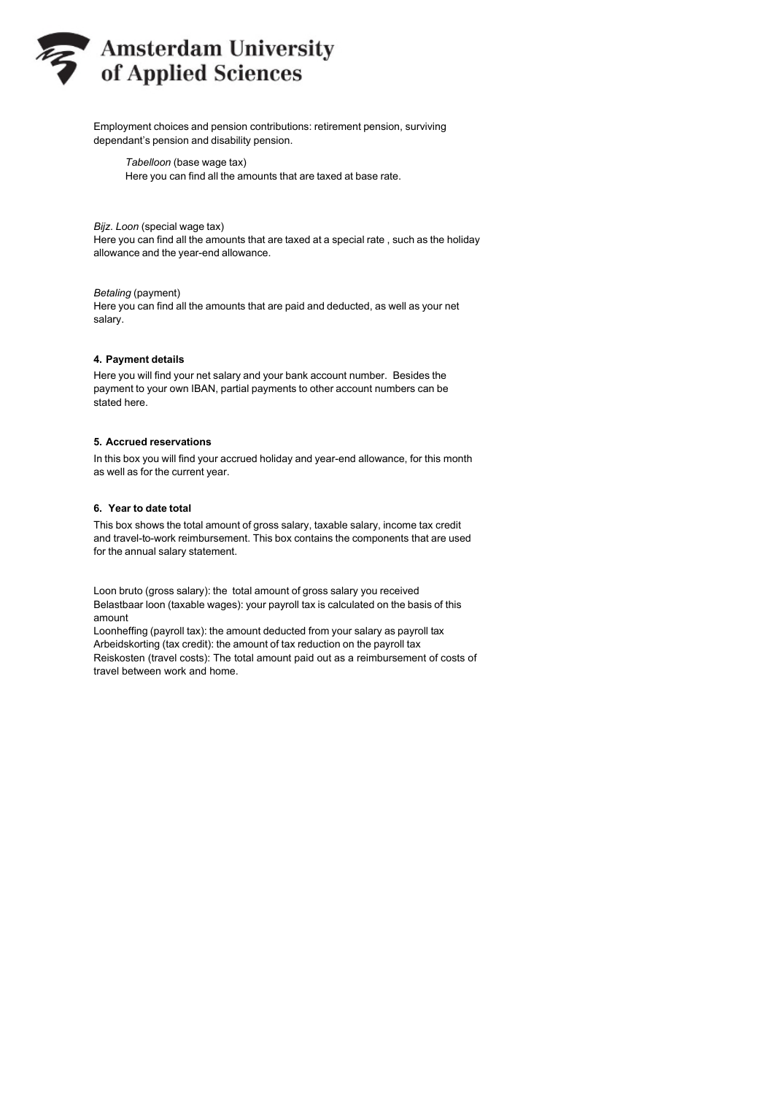

Employment choices and pension contributions: retirement pension, surviving dependant's pension and disability pension.

*Tabelloon* (base wage tax) Here you can find all the amounts that are taxed at base rate.

*Bijz. Loon* (special wage tax)

Here you can find all the amounts that are taxed at a special rate , such as the holiday allowance and the year-end allowance.

## *Betaling* (payment)

Here you can find all the amounts that are paid and deducted, as well as your net salary.

#### **4. Payment details**

Here you will find your net salary and your bank account number. Besides the payment to your own IBAN, partial payments to other account numbers can be stated here.

#### **5. Accrued reservations**

In this box you will find your accrued holiday and year-end allowance, for this month as well as for the current year.

# **6. Year to date total**

This box shows the total amount of gross salary, taxable salary, income tax credit and travel-to-work reimbursement. This box contains the components that are used for the annual salary statement.

Loon bruto (gross salary): the total amount of gross salary you received Belastbaar loon (taxable wages): your payroll tax is calculated on the basis of this amount

Loonheffing (payroll tax): the amount deducted from your salary as payroll tax Arbeidskorting (tax credit): the amount of tax reduction on the payroll tax Reiskosten (travel costs): The total amount paid out as a reimbursement of costs of travel between work and home.